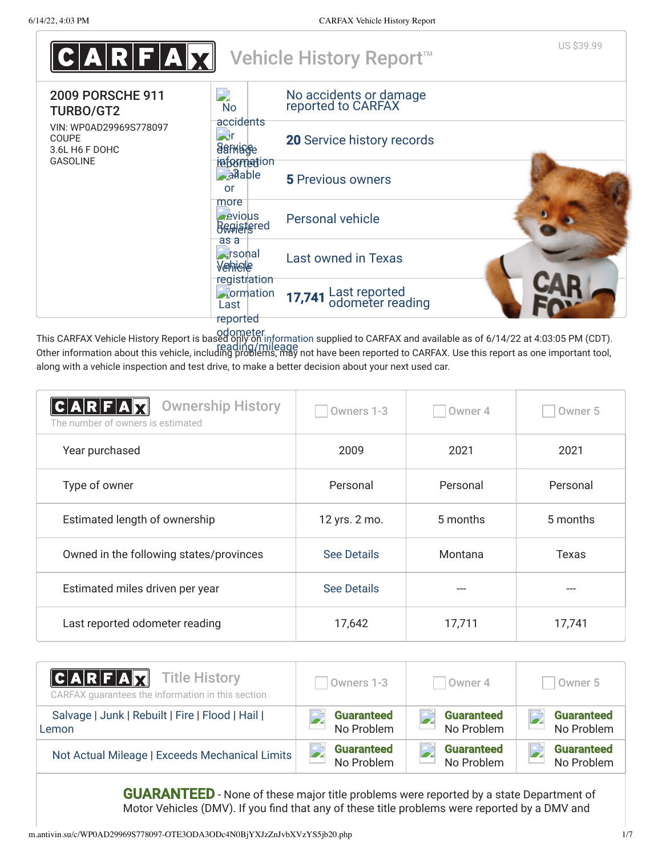

This CARFAX Vehicle History Report is based only on information supplied to CARFAX and available as of 6/14/22 at 4:03:05 PM (CDT). Other information about this vehicle, including problems, may not have been reported to CARFAX. Use this report as one important tool, reading/mileage along with a vehicle inspection and test drive, to make a better decision about your next used car.

| <b>Ownership History</b><br>$\textsf{\textbf{C}} \textsf{\textbf{A}}\textsf{\textbf{R}} \textsf{\textbf{F}} \textsf{\textbf{A}} \textsf{\textbf{X}}$<br>The number of owners is estimated | Owners 1-3         | Owner 4  | Owner <sub>5</sub> |
|-------------------------------------------------------------------------------------------------------------------------------------------------------------------------------------------|--------------------|----------|--------------------|
| Year purchased                                                                                                                                                                            | 2009               | 2021     | 2021               |
| Type of owner                                                                                                                                                                             | Personal           | Personal | Personal           |
| Estimated length of ownership                                                                                                                                                             | 12 yrs. 2 mo.      | 5 months | 5 months           |
| Owned in the following states/provinces                                                                                                                                                   | <b>See Details</b> | Montana  | <b>Texas</b>       |
| Estimated miles driven per year                                                                                                                                                           | <b>See Details</b> | $---$    | ---                |
| Last reported odometer reading                                                                                                                                                            | 17,642             | 17,711   | 17,741             |

| $ C $ a r $ F $ a $\nabla$<br><b>Title History</b><br>CARFAX guarantees the information in this section | Owners 1-3        | Owner 4           | Owner 5           |
|---------------------------------------------------------------------------------------------------------|-------------------|-------------------|-------------------|
| Salvage   Junk   Rebuilt   Fire   Flood   Hail                                                          | <b>Guaranteed</b> | <b>Guaranteed</b> | <b>Guaranteed</b> |
| Lemon                                                                                                   | No Problem        | No Problem        | No Problem        |
| Not Actual Mileage   Exceeds Mechanical Limits                                                          | <b>Guaranteed</b> | <b>Guaranteed</b> | <b>Guaranteed</b> |
|                                                                                                         | No Problem        | No Problem        | No Problem        |

**GUARANTEED** - None of these major title problems were reported by a state Department of Motor Vehicles (DMV). If you find that any of these title problems were reported by a DMV and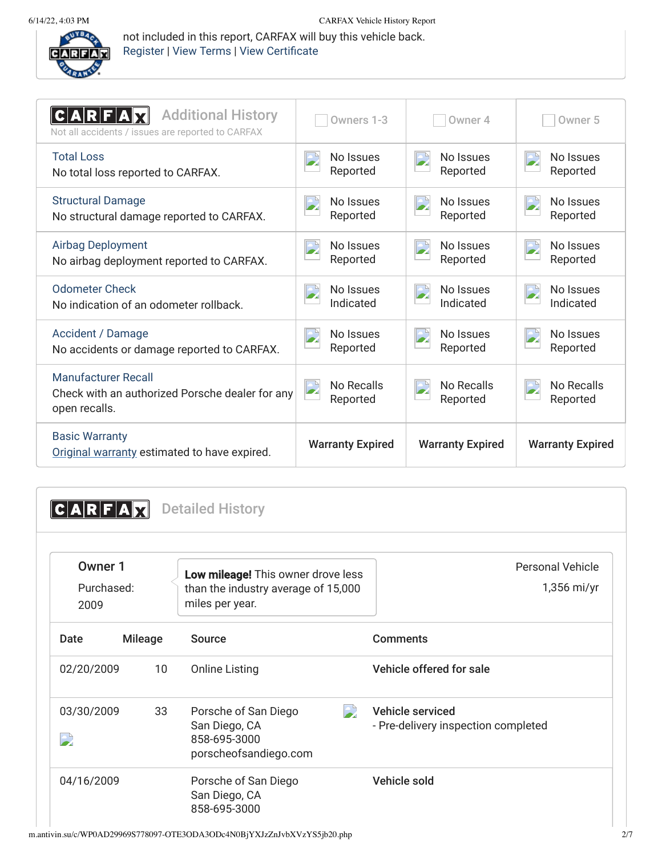

not included in this report, CARFAX will buy this vehicle back. Register | View Terms | View Certificate

| <b>Additional History</b><br>Not all accidents / issues are reported to CARFAX                 | Owners 1-3                    | Owner 4                 | Owner <sub>5</sub>            |
|------------------------------------------------------------------------------------------------|-------------------------------|-------------------------|-------------------------------|
| <b>Total Loss</b>                                                                              | No Issues                     | No Issues               | No Issues                     |
| No total loss reported to CARFAX.                                                              | Reported                      | Reported                | Reported                      |
| <b>Structural Damage</b>                                                                       | No Issues                     | No Issues               | No Issues                     |
| No structural damage reported to CARFAX.                                                       | Reported                      | Reported                | Reported                      |
| <b>Airbag Deployment</b>                                                                       | No Issues                     | No Issues               | No Issues                     |
| No airbag deployment reported to CARFAX.                                                       | Reported                      | Reported                | Reported                      |
| Odometer Check                                                                                 | No Issues                     | No Issues               | No Issues                     |
| No indication of an odometer rollback.                                                         | Indicated                     | Indicated               | Indicated                     |
| <b>Accident / Damage</b>                                                                       | No Issues                     | No Issues               | No Issues                     |
| No accidents or damage reported to CARFAX.                                                     | Reported                      | Reported                | Reported                      |
| <b>Manufacturer Recall</b><br>Check with an authorized Porsche dealer for any<br>open recalls. | <b>No Recalls</b><br>Reported | No Recalls<br>Reported  | <b>No Recalls</b><br>Reported |
| <b>Basic Warranty</b><br>Original warranty estimated to have expired.                          | <b>Warranty Expired</b>       | <b>Warranty Expired</b> | <b>Warranty Expired</b>       |

**CARFAX** Detailed History

| Owner 1<br>Purchased:<br>2009          |                 | Low mileage! This owner drove less<br>than the industry average of 15,000<br>miles per year. | <b>Personal Vehicle</b><br>$1,356$ mi/yr                |
|----------------------------------------|-----------------|----------------------------------------------------------------------------------------------|---------------------------------------------------------|
| Date                                   | <b>Mileage</b>  | <b>Source</b>                                                                                | <b>Comments</b>                                         |
| 02/20/2009                             | 10 <sup>°</sup> | <b>Online Listing</b>                                                                        | Vehicle offered for sale                                |
| 03/30/2009<br>$\overline{\phantom{a}}$ | 33              | Porsche of San Diego<br>San Diego, CA<br>858-695-3000<br>porscheofsandiego.com               | Vehicle serviced<br>- Pre-delivery inspection completed |
| 04/16/2009                             |                 | Porsche of San Diego<br>San Diego, CA<br>858-695-3000                                        | Vehicle sold                                            |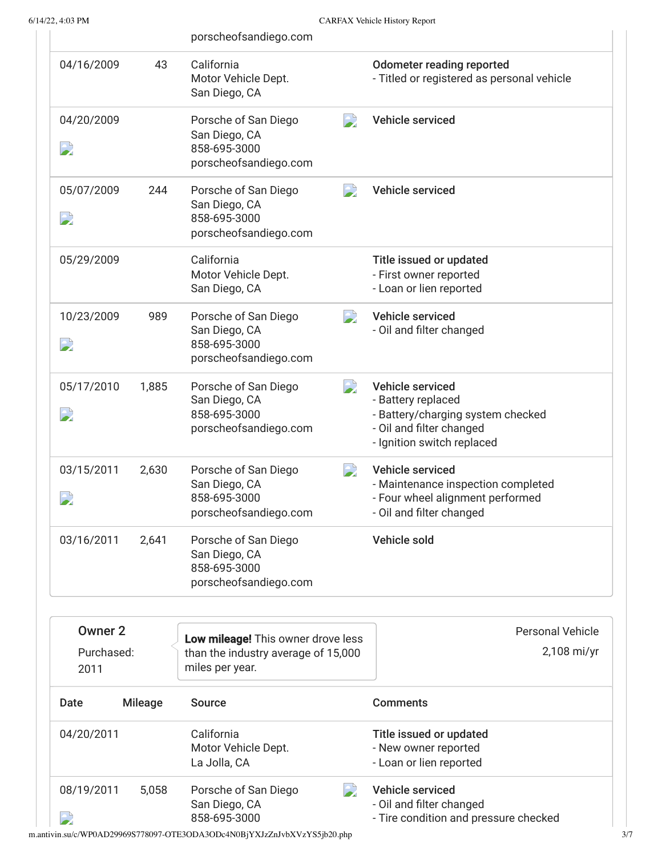|                                        |                | porscheofsandiego.com                                                                                      |                                                                                                                                       |
|----------------------------------------|----------------|------------------------------------------------------------------------------------------------------------|---------------------------------------------------------------------------------------------------------------------------------------|
| 04/16/2009                             | 43             | California<br>Motor Vehicle Dept.<br>San Diego, CA                                                         | <b>Odometer reading reported</b><br>- Titled or registered as personal vehicle                                                        |
| 04/20/2009<br>$\overline{\phantom{a}}$ |                | $\overline{\phantom{a}}$<br>Porsche of San Diego<br>San Diego, CA<br>858-695-3000<br>porscheofsandiego.com | Vehicle serviced                                                                                                                      |
| 05/07/2009<br>$\mathbf{L}$             | 244            | $\rightarrow$<br>Porsche of San Diego<br>San Diego, CA<br>858-695-3000<br>porscheofsandiego.com            | Vehicle serviced                                                                                                                      |
| 05/29/2009                             |                | California<br>Motor Vehicle Dept.<br>San Diego, CA                                                         | Title issued or updated<br>- First owner reported<br>- Loan or lien reported                                                          |
| 10/23/2009<br>$\mathbf{E}$             | 989            | $\overline{\phantom{a}}$<br>Porsche of San Diego<br>San Diego, CA<br>858-695-3000<br>porscheofsandiego.com | <b>Vehicle serviced</b><br>- Oil and filter changed                                                                                   |
| 05/17/2010<br>$\mathbf{L}$             | 1,885          | $\overline{\phantom{a}}$<br>Porsche of San Diego<br>San Diego, CA<br>858-695-3000<br>porscheofsandiego.com | Vehicle serviced<br>- Battery replaced<br>- Battery/charging system checked<br>- Oil and filter changed<br>- Ignition switch replaced |
| 03/15/2011                             | 2,630          | $\overline{\phantom{a}}$<br>Porsche of San Diego<br>San Diego, CA<br>858-695-3000<br>porscheofsandiego.com | Vehicle serviced<br>- Maintenance inspection completed<br>- Four wheel alignment performed<br>- Oil and filter changed                |
| 03/16/2011                             | 2,641          | Porsche of San Diego<br>San Diego, CA<br>858-695-3000<br>porscheofsandiego.com                             | Vehicle sold                                                                                                                          |
| <b>Owner 2</b><br>Purchased:<br>2011   |                | Low mileage! This owner drove less<br>than the industry average of 15,000<br>miles per year.               | <b>Personal Vehicle</b><br>2,108 mi/yr                                                                                                |
| <b>Date</b>                            | <b>Mileage</b> | <b>Source</b>                                                                                              | <b>Comments</b>                                                                                                                       |
| 04/20/2011                             |                | California<br>Motor Vehicle Dept.<br>La Jolla, CA                                                          | Title issued or updated<br>- New owner reported<br>- Loan or lien reported                                                            |
| 08/19/2011                             | 5,058          | Porsche of San Diego                                                                                       | Vehicle serviced                                                                                                                      |

- Oil and filter changed

- Tire condition and pressure checked

m.antivin.su/c/WP0AD29969S778097-OTE3ODA3ODc4N0BjYXJzZnJvbXVzYS5jb20.php 3/7

 $\mathbf{z}$ 

San Diego, CA 858-695-3000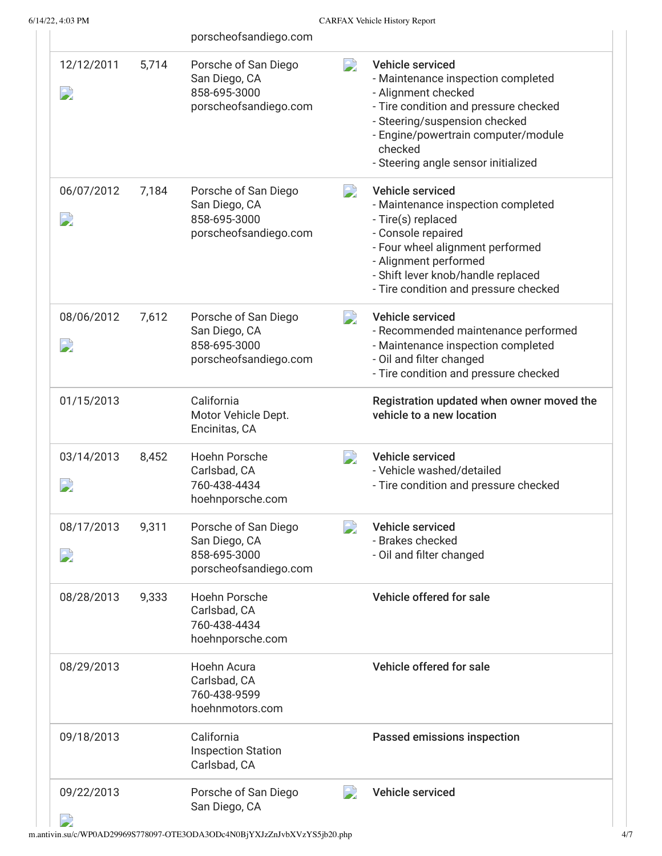|                                        |       | porscheofsandiego.com                                                          |                          |                                                                                                                                                                                                                                                  |
|----------------------------------------|-------|--------------------------------------------------------------------------------|--------------------------|--------------------------------------------------------------------------------------------------------------------------------------------------------------------------------------------------------------------------------------------------|
| 12/12/2011<br>$\rightarrow$            | 5,714 | Porsche of San Diego<br>San Diego, CA<br>858-695-3000<br>porscheofsandiego.com | D                        | Vehicle serviced<br>- Maintenance inspection completed<br>- Alignment checked<br>- Tire condition and pressure checked<br>- Steering/suspension checked<br>- Engine/powertrain computer/module<br>checked<br>- Steering angle sensor initialized |
| 06/07/2012<br>$\overline{\phantom{a}}$ | 7,184 | Porsche of San Diego<br>San Diego, CA<br>858-695-3000<br>porscheofsandiego.com | $\rightarrow$            | Vehicle serviced<br>- Maintenance inspection completed<br>- Tire(s) replaced<br>- Console repaired<br>- Four wheel alignment performed<br>- Alignment performed<br>- Shift lever knob/handle replaced<br>- Tire condition and pressure checked   |
| 08/06/2012<br>$\mathbf{D}$             | 7,612 | Porsche of San Diego<br>San Diego, CA<br>858-695-3000<br>porscheofsandiego.com | $\overline{\phantom{a}}$ | Vehicle serviced<br>- Recommended maintenance performed<br>- Maintenance inspection completed<br>- Oil and filter changed<br>- Tire condition and pressure checked                                                                               |
| 01/15/2013                             |       | California<br>Motor Vehicle Dept.<br>Encinitas, CA                             |                          | Registration updated when owner moved the<br>vehicle to a new location                                                                                                                                                                           |
| 03/14/2013<br>$\sum$                   | 8,452 | <b>Hoehn Porsche</b><br>Carlsbad, CA<br>760-438-4434<br>hoehnporsche.com       | $\rightarrow$            | Vehicle serviced<br>- Vehicle washed/detailed<br>- Tire condition and pressure checked                                                                                                                                                           |
| 08/17/2013<br>$\overline{\phantom{a}}$ | 9,311 | Porsche of San Diego<br>San Diego, CA<br>858-695-3000<br>porscheofsandiego.com | $\overline{\phantom{a}}$ | Vehicle serviced<br>- Brakes checked<br>- Oil and filter changed                                                                                                                                                                                 |
| 08/28/2013                             | 9,333 | Hoehn Porsche<br>Carlsbad, CA<br>760-438-4434<br>hoehnporsche.com              |                          | Vehicle offered for sale                                                                                                                                                                                                                         |
| 08/29/2013                             |       | Hoehn Acura<br>Carlsbad, CA<br>760-438-9599<br>hoehnmotors.com                 |                          | Vehicle offered for sale                                                                                                                                                                                                                         |
| 09/18/2013                             |       | California<br><b>Inspection Station</b><br>Carlsbad, CA                        |                          | Passed emissions inspection                                                                                                                                                                                                                      |
| 09/22/2013                             |       | Porsche of San Diego<br>San Diego, CA                                          | $\overline{\phantom{a}}$ | Vehicle serviced                                                                                                                                                                                                                                 |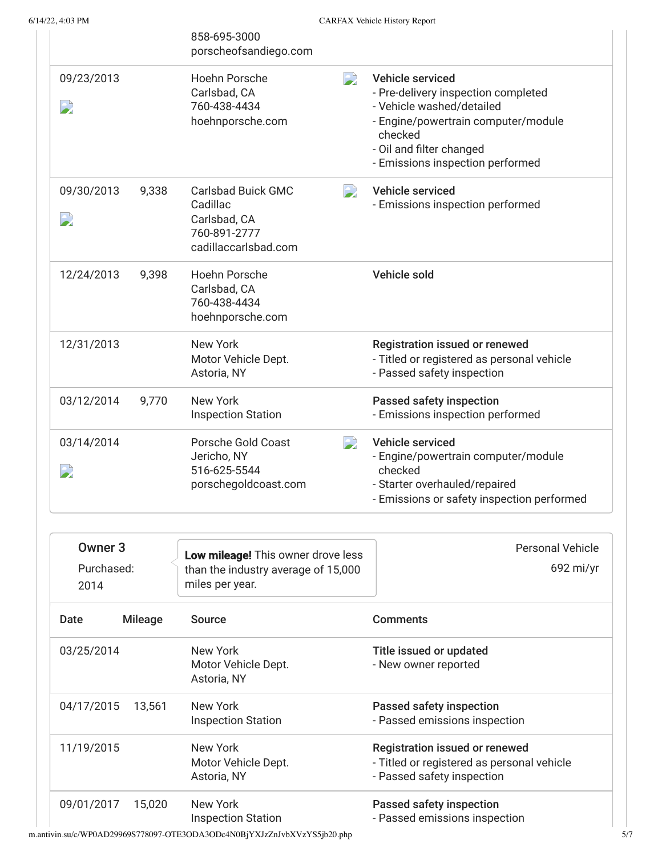|            |       | 858-695-3000<br>porscheofsandiego.com                                                         |                          |                                                                                                                                                                                                        |
|------------|-------|-----------------------------------------------------------------------------------------------|--------------------------|--------------------------------------------------------------------------------------------------------------------------------------------------------------------------------------------------------|
| 09/23/2013 |       | Hoehn Porsche<br>Carlsbad, CA<br>760-438-4434<br>hoehnporsche.com                             | $\Rightarrow$            | Vehicle serviced<br>- Pre-delivery inspection completed<br>- Vehicle washed/detailed<br>- Engine/powertrain computer/module<br>checked<br>- Oil and filter changed<br>- Emissions inspection performed |
| 09/30/2013 | 9,338 | <b>Carlsbad Buick GMC</b><br>Cadillac<br>Carlsbad, CA<br>760-891-2777<br>cadillaccarlsbad.com | $\overline{\phantom{a}}$ | <b>Vehicle serviced</b><br>- Emissions inspection performed                                                                                                                                            |
| 12/24/2013 | 9,398 | <b>Hoehn Porsche</b><br>Carlsbad, CA<br>760-438-4434<br>hoehnporsche.com                      |                          | <b>Vehicle sold</b>                                                                                                                                                                                    |
| 12/31/2013 |       | <b>New York</b><br>Motor Vehicle Dept.<br>Astoria, NY                                         |                          | <b>Registration issued or renewed</b><br>- Titled or registered as personal vehicle<br>- Passed safety inspection                                                                                      |
| 03/12/2014 | 9,770 | New York<br><b>Inspection Station</b>                                                         |                          | Passed safety inspection<br>- Emissions inspection performed                                                                                                                                           |
| 03/14/2014 |       | Porsche Gold Coast<br>Jericho, NY<br>516-625-5544<br>porschegoldcoast.com                     | $\Rightarrow$            | <b>Vehicle serviced</b><br>- Engine/powertrain computer/module<br>checked<br>- Starter overhauled/repaired<br>- Emissions or safety inspection performed                                               |

| Owner <sub>3</sub><br>Purchased:<br>2014 |                | Low mileage! This owner drove less<br>than the industry average of 15,000<br>miles per year. | Personal Vehicle<br>$692$ mi/yr                                                                            |
|------------------------------------------|----------------|----------------------------------------------------------------------------------------------|------------------------------------------------------------------------------------------------------------|
| Date                                     | <b>Mileage</b> | <b>Source</b>                                                                                | <b>Comments</b>                                                                                            |
| 03/25/2014                               |                | New York<br>Motor Vehicle Dept.<br>Astoria, NY                                               | Title issued or updated<br>- New owner reported                                                            |
| 04/17/2015                               | 13,561         | New York<br><b>Inspection Station</b>                                                        | Passed safety inspection<br>- Passed emissions inspection                                                  |
| 11/19/2015                               |                | New York<br>Motor Vehicle Dept.<br>Astoria, NY                                               | Registration issued or renewed<br>- Titled or registered as personal vehicle<br>- Passed safety inspection |
| 09/01/2017                               | 15.020         | New York<br><b>Inspection Station</b>                                                        | Passed safety inspection<br>- Passed emissions inspection                                                  |

m.antivin.su/c/WP0AD29969S778097-OTE3ODA3ODc4N0BjYXJzZnJvbXVzYS5jb20.php 5/7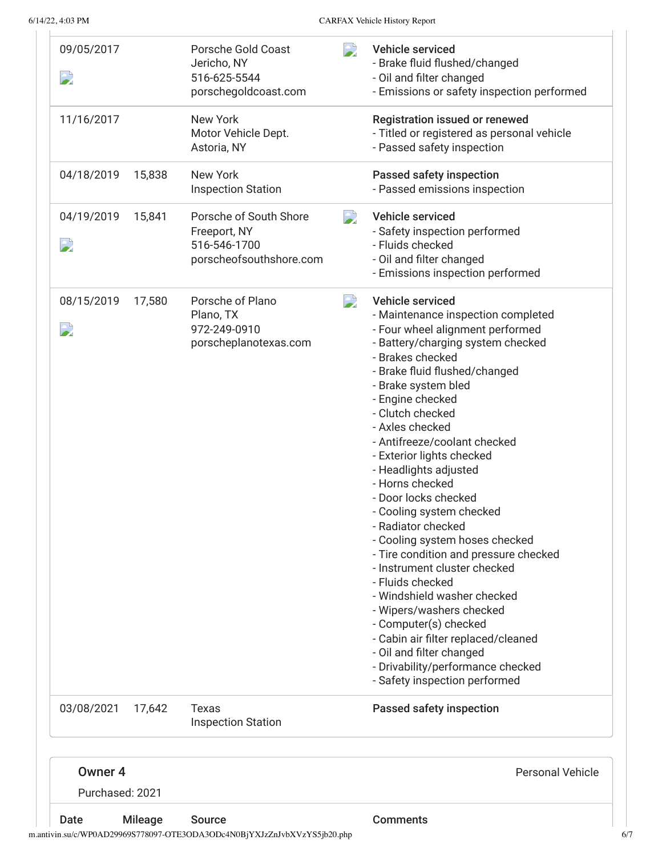| Date                                  | <b>Mileage</b> | <b>Source</b>                                                                     |                          | <b>Comments</b>                                                                                                                                                                                                                                                                                                                                                                                                                                                                                                                                                                                                                                                                    |
|---------------------------------------|----------------|-----------------------------------------------------------------------------------|--------------------------|------------------------------------------------------------------------------------------------------------------------------------------------------------------------------------------------------------------------------------------------------------------------------------------------------------------------------------------------------------------------------------------------------------------------------------------------------------------------------------------------------------------------------------------------------------------------------------------------------------------------------------------------------------------------------------|
| Owner <sub>4</sub><br>Purchased: 2021 |                |                                                                                   |                          | <b>Personal Vehicle</b>                                                                                                                                                                                                                                                                                                                                                                                                                                                                                                                                                                                                                                                            |
| 03/08/2021                            | 17,642         | Texas<br><b>Inspection Station</b>                                                |                          | Passed safety inspection                                                                                                                                                                                                                                                                                                                                                                                                                                                                                                                                                                                                                                                           |
|                                       |                |                                                                                   |                          | - Brakes checked<br>- Brake fluid flushed/changed<br>- Brake system bled<br>- Engine checked<br>- Clutch checked<br>- Axles checked<br>- Antifreeze/coolant checked<br>- Exterior lights checked<br>- Headlights adjusted<br>- Horns checked<br>- Door locks checked<br>- Cooling system checked<br>- Radiator checked<br>- Cooling system hoses checked<br>- Tire condition and pressure checked<br>- Instrument cluster checked<br>- Fluids checked<br>- Windshield washer checked<br>- Wipers/washers checked<br>- Computer(s) checked<br>- Cabin air filter replaced/cleaned<br>- Oil and filter changed<br>- Drivability/performance checked<br>- Safety inspection performed |
| 08/15/2019<br>$\mathbf{D}$            | 17,580         | Porsche of Plano<br>Plano, TX<br>972-249-0910<br>porscheplanotexas.com            | D                        | Vehicle serviced<br>- Maintenance inspection completed<br>- Four wheel alignment performed<br>- Battery/charging system checked                                                                                                                                                                                                                                                                                                                                                                                                                                                                                                                                                    |
| 04/19/2019<br>$\mathbf{L}$            | 15,841         | Porsche of South Shore<br>Freeport, NY<br>516-546-1700<br>porscheofsouthshore.com | $\Rightarrow$            | Vehicle serviced<br>- Safety inspection performed<br>- Fluids checked<br>- Oil and filter changed<br>- Emissions inspection performed                                                                                                                                                                                                                                                                                                                                                                                                                                                                                                                                              |
| 04/18/2019                            | 15,838         | <b>New York</b><br><b>Inspection Station</b>                                      |                          | Passed safety inspection<br>- Passed emissions inspection                                                                                                                                                                                                                                                                                                                                                                                                                                                                                                                                                                                                                          |
| 11/16/2017                            |                | <b>New York</b><br>Motor Vehicle Dept.<br>Astoria, NY                             |                          | <b>Registration issued or renewed</b><br>- Titled or registered as personal vehicle<br>- Passed safety inspection                                                                                                                                                                                                                                                                                                                                                                                                                                                                                                                                                                  |
| 09/05/2017<br>D                       |                | Porsche Gold Coast<br>Jericho, NY<br>516-625-5544<br>porschegoldcoast.com         | $\overline{\phantom{a}}$ | Vehicle serviced<br>- Brake fluid flushed/changed<br>- Oil and filter changed<br>- Emissions or safety inspection performed                                                                                                                                                                                                                                                                                                                                                                                                                                                                                                                                                        |
|                                       |                |                                                                                   |                          |                                                                                                                                                                                                                                                                                                                                                                                                                                                                                                                                                                                                                                                                                    |